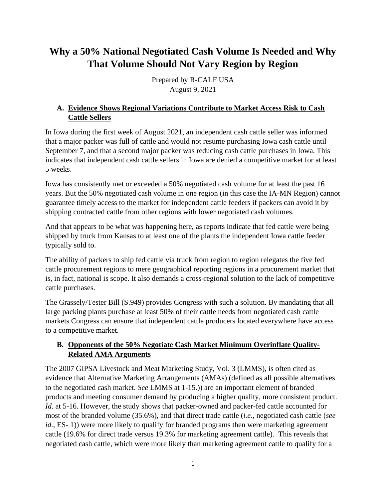# **Why a 50% National Negotiated Cash Volume Is Needed and Why That Volume Should Not Vary Region by Region**

Prepared by R-CALF USA August 9, 2021

### **A. Evidence Shows Regional Variations Contribute to Market Access Risk to Cash Cattle Sellers**

In Iowa during the first week of August 2021, an independent cash cattle seller was informed that a major packer was full of cattle and would not resume purchasing Iowa cash cattle until September 7, and that a second major packer was reducing cash cattle purchases in Iowa. This indicates that independent cash cattle sellers in Iowa are denied a competitive market for at least 5 weeks.

Iowa has consistently met or exceeded a 50% negotiated cash volume for at least the past 16 years. But the 50% negotiated cash volume in one region (in this case the IA-MN Region) cannot guarantee timely access to the market for independent cattle feeders if packers can avoid it by shipping contracted cattle from other regions with lower negotiated cash volumes.

And that appears to be what was happening here, as reports indicate that fed cattle were being shipped by truck from Kansas to at least one of the plants the independent Iowa cattle feeder typically sold to.

The ability of packers to ship fed cattle via truck from region to region relegates the five fed cattle procurement regions to mere geographical reporting regions in a procurement market that is, in fact, national is scope. It also demands a cross-regional solution to the lack of competitive cattle purchases.

The Grassely/Tester Bill (S.949) provides Congress with such a solution. By mandating that all large packing plants purchase at least 50% of their cattle needs from negotiated cash cattle markets Congress can ensure that independent cattle producers located everywhere have access to a competitive market.

### **B. Opponents of the 50% Negotiate Cash Market Minimum Overinflate Quality-Related AMA Arguments**

The 2007 GIPSA Livestock and Meat Marketing Study, Vol. 3 (LMMS), is often cited as evidence that Alternative Marketing Arrangements (AMAs) (defined as all possible alternatives to the negotiated cash market. *See* LMMS at 1-15.)) are an important element of branded products and meeting consumer demand by producing a higher quality, more consistent product. *Id.* at 5-16. However, the study shows that packer-owned and packer-fed cattle accounted for most of the branded volume (35.6%), and that direct trade cattle (*i.e*., negotiated cash cattle (*see id*., ES- 1)) were more likely to qualify for branded programs then were marketing agreement cattle (19.6% for direct trade versus 19.3% for marketing agreement cattle). This reveals that negotiated cash cattle, which were more likely than marketing agreement cattle to qualify for a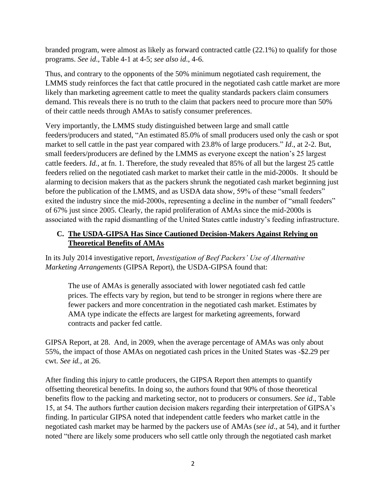branded program, were almost as likely as forward contracted cattle (22.1%) to qualify for those programs. *See id*., Table 4-1 at 4-5; *see also id*., 4-6.

Thus, and contrary to the opponents of the 50% minimum negotiated cash requirement, the LMMS study reinforces the fact that cattle procured in the negotiated cash cattle market are more likely than marketing agreement cattle to meet the quality standards packers claim consumers demand. This reveals there is no truth to the claim that packers need to procure more than 50% of their cattle needs through AMAs to satisfy consumer preferences.

Very importantly, the LMMS study distinguished between large and small cattle feeders/producers and stated, "An estimated 85.0% of small producers used only the cash or spot market to sell cattle in the past year compared with 23.8% of large producers." *Id*., at 2-2. But, small feeders/producers are defined by the LMMS as everyone except the nation's 25 largest cattle feeders. *Id.*, at fn. 1. Therefore, the study revealed that 85% of all but the largest 25 cattle feeders relied on the negotiated cash market to market their cattle in the mid-2000s. It should be alarming to decision makers that as the packers shrunk the negotiated cash market beginning just before the publication of the LMMS, and as USDA data show, 59% of these "small feeders" exited the industry since the mid-2000s, representing a decline in the number of "small feeders" of 67% just since 2005. Clearly, the rapid proliferation of AMAs since the mid-2000s is associated with the rapid dismantling of the United States cattle industry's feeding infrastructure.

## **C. The USDA-GIPSA Has Since Cautioned Decision-Makers Against Relying on Theoretical Benefits of AMAs**

In its July 2014 investigative report, *Investigation of Beef Packers' Use of Alternative Marketing Arrangements* (GIPSA Report), the USDA-GIPSA found that:

The use of AMAs is generally associated with lower negotiated cash fed cattle prices. The effects vary by region, but tend to be stronger in regions where there are fewer packers and more concentration in the negotiated cash market. Estimates by AMA type indicate the effects are largest for marketing agreements, forward contracts and packer fed cattle.

GIPSA Report, at 28. And, in 2009, when the average percentage of AMAs was only about 55%, the impact of those AMAs on negotiated cash prices in the United States was -\$2.29 per cwt. *See id.,* at 26.

After finding this injury to cattle producers, the GIPSA Report then attempts to quantify offsetting theoretical benefits. In doing so, the authors found that 90% of those theoretical benefits flow to the packing and marketing sector, not to producers or consumers. *See id*., Table 15, at 54. The authors further caution decision makers regarding their interpretation of GIPSA's finding. In particular GIPSA noted that independent cattle feeders who market cattle in the negotiated cash market may be harmed by the packers use of AMAs (*see id*., at 54), and it further noted "there are likely some producers who sell cattle only through the negotiated cash market